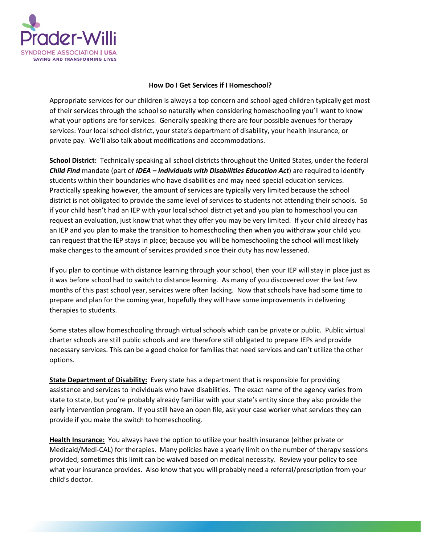

## **How Do I Get Services if I Homeschool?**

Appropriate services for our children is always a top concern and school-aged children typically get most of their services through the school so naturally when considering homeschooling you'll want to know what your options are for services. Generally speaking there are four possible avenues for therapy services: Your local school district, your state's department of disability, your health insurance, or private pay. We'll also talk about modifications and accommodations.

**School District:** Technically speaking all school districts throughout the United States, under the federal *Child Find* mandate (part of *IDEA – Individuals with Disabilities Education Act*) are required to identify students within their boundaries who have disabilities and may need special education services. Practically speaking however, the amount of services are typically very limited because the school district is not obligated to provide the same level of services to students not attending their schools. So if your child hasn't had an IEP with your local school district yet and you plan to homeschool you can request an evaluation, just know that what they offer you may be very limited. If your child already has an IEP and you plan to make the transition to homeschooling then when you withdraw your child you can request that the IEP stays in place; because you will be homeschooling the school will most likely make changes to the amount of services provided since their duty has now lessened.

If you plan to continue with distance learning through your school, then your IEP will stay in place just as it was before school had to switch to distance learning. As many of you discovered over the last few months of this past school year, services were often lacking. Now that schools have had some time to prepare and plan for the coming year, hopefully they will have some improvements in delivering therapies to students.

Some states allow homeschooling through virtual schools which can be private or public. Public virtual charter schools are still public schools and are therefore still obligated to prepare IEPs and provide necessary services. This can be a good choice for families that need services and can't utilize the other options.

**State Department of Disability:** Every state has a department that is responsible for providing assistance and services to individuals who have disabilities. The exact name of the agency varies from state to state, but you're probably already familiar with your state's entity since they also provide the early intervention program. If you still have an open file, ask your case worker what services they can provide if you make the switch to homeschooling.

**Health Insurance:** You always have the option to utilize your health insurance (either private or Medicaid/Medi-CAL) for therapies. Many policies have a yearly limit on the number of therapy sessions provided; sometimes this limit can be waived based on medical necessity. Review your policy to see what your insurance provides. Also know that you will probably need a referral/prescription from your child's doctor.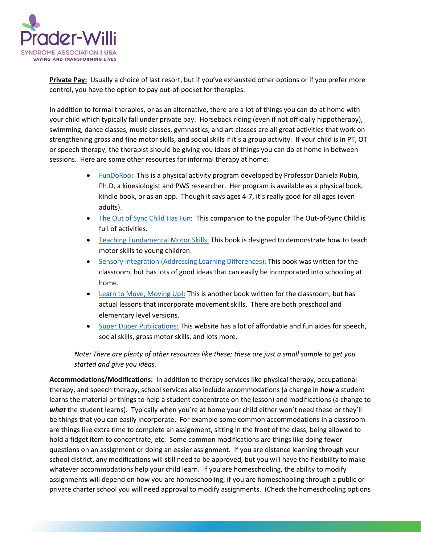

**Private Pay:** Usually a choice of last resort, but if you've exhausted other options or if you prefer more control, you have the option to pay out-of-pocket for therapies.

In addition to formal therapies, or as an alternative, there are a lot of things you can do at home with your child which typically fall under private pay. Horseback riding (even if not officially hippotherapy), swimming, dance classes, music classes, gymnastics, and art classes are all great activities that work on strengthening gross and fine motor skills, and social skills if it's a group activity. If your child is in PT, OT or speech therapy, the therapist should be giving you ideas of things you can do at home in between sessions. Here are some other resources for informal therapy at home:

- [FunDoRoo:](https://www.fundoroo.net/) This is a physical activity program developed by Professor Daniela Rubin, Ph.D, a kinesiologist and PWS researcher. Her program is available as a physical book, kindle book, or as an app. Though it says ages 4-7, it's really good for all ages (even adults).
- [The Out of Sync Child Has Fun:](https://smile.amazon.com/Out-Sync-Child-Has-Revised/dp/0399532714/) This companion to the popular The Out-of-Sync Child is full of activities.
- [Teaching Fundamental Motor Skills:](https://smile.amazon.com/Teaching-Fundamental-Skills-America-Standard/dp/1492521264) This book is designed to demonstrate how to teach motor skills to young children.
- [Sensory Integration \(Addressing Learning Differences\):](https://smile.amazon.com/Sensory-Integration-Addressing-Learning-Differences/dp/0742402681) This book was written for the classroom, but has lots of good ideas that can easily be incorporated into schooling at home.
- [Learn to Move, Moving Up!:](https://www.amazon.com/Moving-Sensorimotor-Elementary-School-Activity-Themes/dp/1934575380/) This is another book written for the classroom, but has actual lessons that incorporate movement skills. There are both preschool and elementary level versions.
- [Super Duper Publications:](https://www.superduperinc.com/) This website has a lot of affordable and fun aides for speech, social skills, gross motor skills, and lots more.

*Note: There are plenty of other resources like these; these are just a small sample to get you started and give you ideas.*

**Accommodations/Modifications:** In addition to therapy services like physical therapy, occupational therapy, and speech therapy, school services also include accommodations (a change in *how* a student learns the material or things to help a student concentrate on the lesson) and modifications (a change to *what* the student learns). Typically when you're at home your child either won't need these or they'll be things that you can easily incorporate. For example some common accommodations in a classroom are things like extra time to complete an assignment, sitting in the front of the class, being allowed to hold a fidget item to concentrate, etc. Some common modifications are things like doing fewer questions on an assignment or doing an easier assignment. If you are distance learning through your school district, any modifications will still need to be approved, but you will have the flexibility to make whatever accommodations help your child learn. If you are homeschooling, the ability to modify assignments will depend on how you are homeschooling; if you are homeschooling through a public or private charter school you will need approval to modify assignments. (Check the homeschooling options